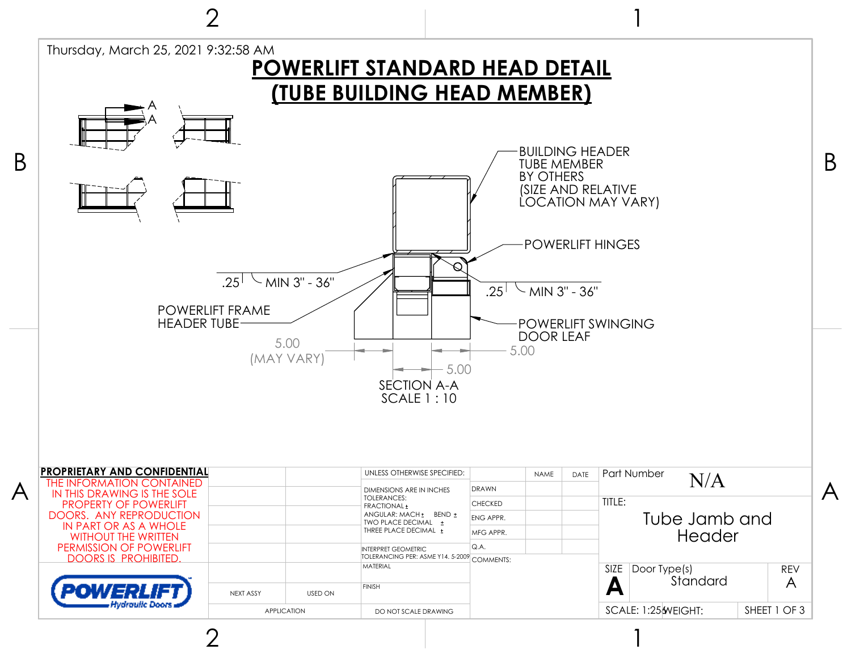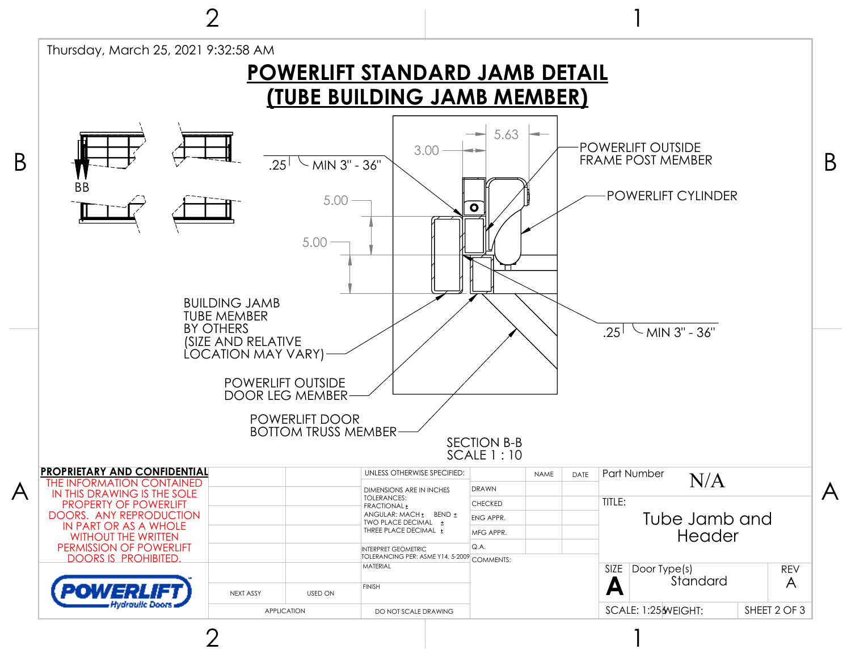